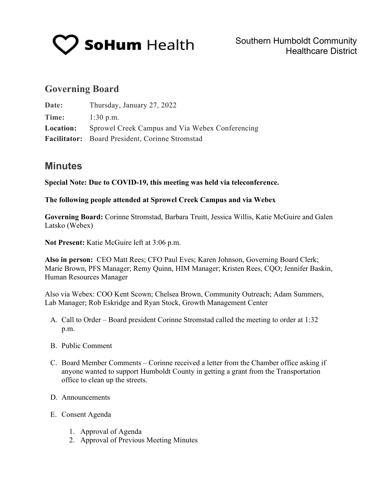

# **Governing Board**

| Date:            | Thursday, January 27, 2022                      |  |
|------------------|-------------------------------------------------|--|
| Time:            | $1:30$ p.m.                                     |  |
| <b>Location:</b> | Sprowel Creek Campus and Via Webex Conferencing |  |
|                  | Facilitator: Board President, Corinne Stromstad |  |

# **Minutes**

**Special Note: Due to COVID-19, this meeting was held via teleconference.**

### **The following people attended at Sprowel Creek Campus and via Webex**

**Governing Board:** Corinne Stromstad, Barbara Truitt, Jessica Willis, Katie McGuire and Galen Latsko (Webex)

**Not Present:** Katie McGuire left at 3:06 p.m.

**Also in person:** CEO Matt Rees; CFO Paul Eves; Karen Johnson, Governing Board Clerk; Marie Brown, PFS Manager; Remy Quinn, HIM Manager; Kristen Rees, CQO; Jennifer Baskin, Human Resources Manager

Also via Webex: COO Kent Scown; Chelsea Brown, Community Outreach; Adam Summers, Lab Manager; Rob Eskridge and Ryan Stock, Growth Management Center

- A. Call to Order Board president Corinne Stromstad called the meeting to order at 1:32 p.m.
- B. Public Comment
- C. Board Member Comments Corinne received a letter from the Chamber office asking if anyone wanted to support Humboldt County in getting a grant from the Transportation office to clean up the streets.
- D. Announcements
- E. Consent Agenda
	- 1. Approval of Agenda
	- 2. Approval of Previous Meeting Minutes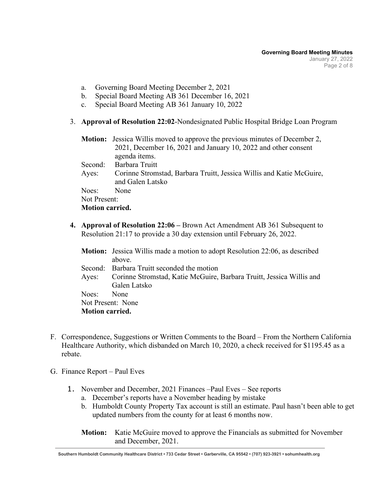- a. Governing Board Meeting December 2, 2021
- b. Special Board Meeting AB 361 December 16, 2021
- c. Special Board Meeting AB 361 January 10, 2022
- 3. **Approval of Resolution 22:02**-Nondesignated Public Hospital Bridge Loan Program

|                        | <b>Motion:</b> Jessica Willis moved to approve the previous minutes of December 2, |  |  |
|------------------------|------------------------------------------------------------------------------------|--|--|
|                        | 2021, December 16, 2021 and January 10, 2022 and other consent                     |  |  |
|                        | agenda items.                                                                      |  |  |
| Second:                | Barbara Truitt                                                                     |  |  |
| Ayes:                  | Corinne Stromstad, Barbara Truitt, Jessica Willis and Katie McGuire,               |  |  |
|                        | and Galen Latsko                                                                   |  |  |
| Noes:                  | None                                                                               |  |  |
| Not Present:           |                                                                                    |  |  |
| <b>Motion carried.</b> |                                                                                    |  |  |

**4. Approval of Resolution 22:06 –** Brown Act Amendment AB 361 Subsequent to Resolution 21:17 to provide a 30 day extension until February 26, 2022.

|                        | <b>Motion:</b> Jessica Willis made a motion to adopt Resolution 22:06, as described |  |  |
|------------------------|-------------------------------------------------------------------------------------|--|--|
|                        | above.                                                                              |  |  |
|                        | Second: Barbara Truitt seconded the motion                                          |  |  |
|                        | Ayes: Corinne Stromstad, Katie McGuire, Barbara Truitt, Jessica Willis and          |  |  |
|                        | Galen Latsko                                                                        |  |  |
| Noes:                  | None                                                                                |  |  |
| Not Present: None      |                                                                                     |  |  |
| <b>Motion carried.</b> |                                                                                     |  |  |

- F. Correspondence, Suggestions or Written Comments to the Board From the Northern California Healthcare Authority, which disbanded on March 10, 2020, a check received for \$1195.45 as a rebate.
- G. Finance Report Paul Eves
	- 1. November and December, 2021 Finances –Paul Eves See reports
		- a. December's reports have a November heading by mistake
		- b. Humboldt County Property Tax account is still an estimate. Paul hasn't been able to get updated numbers from the county for at least 6 months now.
		- **Motion:** Katie McGuire moved to approve the Financials as submitted for November and December, 2021.

**Southern Humboldt Community Healthcare District • 733 Cedar Street • Garberville, CA 95542 • (707) 923-3921 • sohumhealth.org**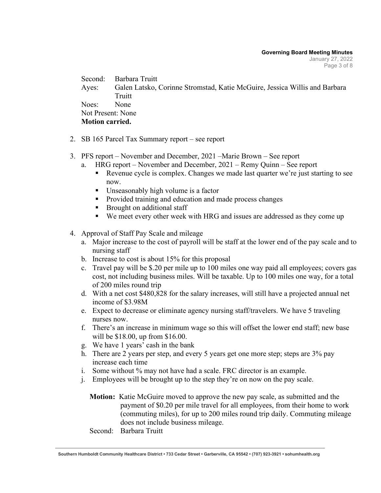Second: Barbara Truitt Ayes: Galen Latsko, Corinne Stromstad, Katie McGuire, Jessica Willis and Barbara Truitt Noes: None Not Present: None **Motion carried.**

- 2. SB 165 Parcel Tax Summary report see report
- 3. PFS report November and December, 2021 –Marie Brown See report
	- a. HRG report November and December, 2021 Remy Quinn See report
		- Revenue cycle is complex. Changes we made last quarter we're just starting to see now.
		- Unseasonably high volume is a factor
		- **Provided training and education and made process changes**
		- Brought on additional staff
		- We meet every other week with HRG and issues are addressed as they come up
- 4. Approval of Staff Pay Scale and mileage
	- a. Major increase to the cost of payroll will be staff at the lower end of the pay scale and to nursing staff
	- b. Increase to cost is about 15% for this proposal
	- c. Travel pay will be \$.20 per mile up to 100 miles one way paid all employees; covers gas cost, not including business miles. Will be taxable. Up to 100 miles one way, for a total of 200 miles round trip
	- d. With a net cost \$480,828 for the salary increases, will still have a projected annual net income of \$3.98M
	- e. Expect to decrease or eliminate agency nursing staff/travelers. We have 5 traveling nurses now.
	- f. There's an increase in minimum wage so this will offset the lower end staff; new base will be \$18.00, up from \$16.00.
	- g. We have 1 years' cash in the bank
	- h. There are 2 years per step, and every 5 years get one more step; steps are 3% pay increase each time
	- i. Some without % may not have had a scale. FRC director is an example.
	- j. Employees will be brought up to the step they're on now on the pay scale.
		- **Motion:** Katie McGuire moved to approve the new pay scale, as submitted and the payment of \$0.20 per mile travel for all employees, from their home to work (commuting miles), for up to 200 miles round trip daily. Commuting mileage does not include business mileage.
		- Second: Barbara Truitt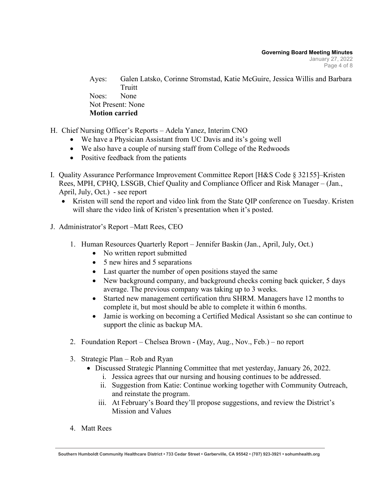Ayes: Galen Latsko, Corinne Stromstad, Katie McGuire, Jessica Willis and Barbara **Truitt** Noes: None Not Present: None **Motion carried**

- H. Chief Nursing Officer's Reports Adela Yanez, Interim CNO
	- We have a Physician Assistant from UC Davis and its's going well
	- We also have a couple of nursing staff from College of the Redwoods
	- Positive feedback from the patients
- I. Quality Assurance Performance Improvement Committee Report [H&S Code § 32155]–Kristen Rees, MPH, CPHQ, LSSGB, Chief Quality and Compliance Officer and Risk Manager – (Jan., April, July, Oct.) - see report
	- Kristen will send the report and video link from the State QIP conference on Tuesday. Kristen will share the video link of Kristen's presentation when it's posted.
- J. Administrator's Report –Matt Rees, CEO
	- 1. Human Resources Quarterly Report Jennifer Baskin (Jan., April, July, Oct.)
		- No written report submitted
		- 5 new hires and 5 separations
		- Last quarter the number of open positions stayed the same
		- New background company, and background checks coming back quicker, 5 days average. The previous company was taking up to 3 weeks.
		- Started new management certification thru SHRM. Managers have 12 months to complete it, but most should be able to complete it within 6 months.
		- Jamie is working on becoming a Certified Medical Assistant so she can continue to support the clinic as backup MA.
	- 2. Foundation Report Chelsea Brown (May, Aug., Nov., Feb.) no report
	- 3. Strategic Plan Rob and Ryan
		- Discussed Strategic Planning Committee that met yesterday, January 26, 2022.
			- i. Jessica agrees that our nursing and housing continues to be addressed.
			- ii. Suggestion from Katie: Continue working together with Community Outreach, and reinstate the program.
			- iii. At February's Board they'll propose suggestions, and review the District's Mission and Values
	- 4. Matt Rees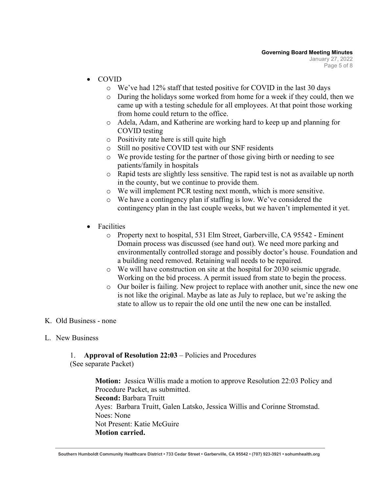- COVID
	- o We've had 12% staff that tested positive for COVID in the last 30 days
	- o During the holidays some worked from home for a week if they could, then we came up with a testing schedule for all employees. At that point those working from home could return to the office.
	- o Adela, Adam, and Katherine are working hard to keep up and planning for COVID testing
	- o Positivity rate here is still quite high
	- o Still no positive COVID test with our SNF residents
	- o We provide testing for the partner of those giving birth or needing to see patients/family in hospitals
	- o Rapid tests are slightly less sensitive. The rapid test is not as available up north in the county, but we continue to provide them.
	- o We will implement PCR testing next month, which is more sensitive.
	- o We have a contingency plan if staffing is low. We've considered the contingency plan in the last couple weeks, but we haven't implemented it yet.
- Facilities
	- o Property next to hospital, 531 Elm Street, Garberville, CA 95542 Eminent Domain process was discussed (see hand out). We need more parking and environmentally controlled storage and possibly doctor's house. Foundation and a building need removed. Retaining wall needs to be repaired.
	- o We will have construction on site at the hospital for 2030 seismic upgrade. Working on the bid process. A permit issued from state to begin the process.
	- o Our boiler is failing. New project to replace with another unit, since the new one is not like the original. Maybe as late as July to replace, but we're asking the state to allow us to repair the old one until the new one can be installed.

#### K. Old Business - none

### L. New Business

## 1. **Approval of Resolution 22:03** – Policies and Procedures

(See separate Packet)

**Motion:** Jessica Willis made a motion to approve Resolution 22:03 Policy and Procedure Packet, as submitted. **Second:** Barbara Truitt Ayes: Barbara Truitt, Galen Latsko, Jessica Willis and Corinne Stromstad. Noes: None Not Present: Katie McGuire **Motion carried.**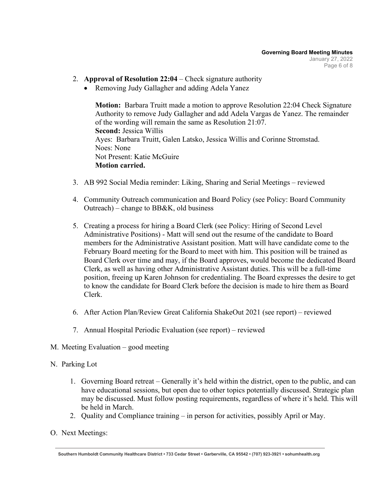- 2. **Approval of Resolution 22:04** Check signature authority
	- Removing Judy Gallagher and adding Adela Yanez

**Motion:** Barbara Truitt made a motion to approve Resolution 22:04 Check Signature Authority to remove Judy Gallagher and add Adela Vargas de Yanez. The remainder of the wording will remain the same as Resolution 21:07. **Second:** Jessica Willis Ayes: Barbara Truitt, Galen Latsko, Jessica Willis and Corinne Stromstad. Noes: None Not Present: Katie McGuire **Motion carried.**

- 3. AB 992 Social Media reminder: Liking, Sharing and Serial Meetings reviewed
- 4. Community Outreach communication and Board Policy (see Policy: Board Community Outreach) – change to BB&K, old business
- 5. Creating a process for hiring a Board Clerk (see Policy: Hiring of Second Level Administrative Positions) - Matt will send out the resume of the candidate to Board members for the Administrative Assistant position. Matt will have candidate come to the February Board meeting for the Board to meet with him. This position will be trained as Board Clerk over time and may, if the Board approves, would become the dedicated Board Clerk, as well as having other Administrative Assistant duties. This will be a full-time position, freeing up Karen Johnson for credentialing. The Board expresses the desire to get to know the candidate for Board Clerk before the decision is made to hire them as Board Clerk.
- 6. After Action Plan/Review Great California ShakeOut 2021 (see report) reviewed
- 7. Annual Hospital Periodic Evaluation (see report) reviewed
- M. Meeting Evaluation good meeting

## N. Parking Lot

- 1. Governing Board retreat Generally it's held within the district, open to the public, and can have educational sessions, but open due to other topics potentially discussed. Strategic plan may be discussed. Must follow posting requirements, regardless of where it's held. This will be held in March.
- 2. Quality and Compliance training in person for activities, possibly April or May.
- O. Next Meetings:

**Southern Humboldt Community Healthcare District • 733 Cedar Street • Garberville, CA 95542 • (707) 923-3921 • sohumhealth.org**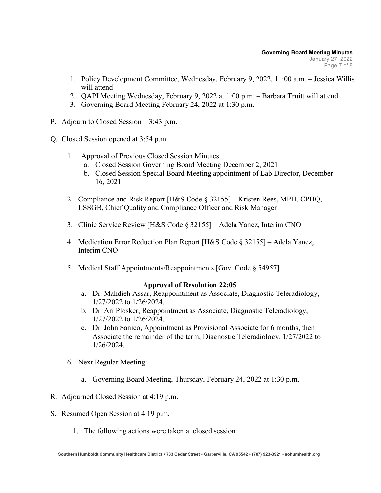- 1. Policy Development Committee, Wednesday, February 9, 2022, 11:00 a.m. Jessica Willis will attend
- 2. QAPI Meeting Wednesday, February 9, 2022 at 1:00 p.m. Barbara Truitt will attend
- 3. Governing Board Meeting February 24, 2022 at 1:30 p.m.
- P. Adjourn to Closed Session 3:43 p.m.
- Q. Closed Session opened at 3:54 p.m.
	- 1. Approval of Previous Closed Session Minutes
		- a. Closed Session Governing Board Meeting December 2, 2021
		- b. Closed Session Special Board Meeting appointment of Lab Director, December 16, 2021
	- 2. Compliance and Risk Report [H&S Code § 32155] Kristen Rees, MPH, CPHQ, LSSGB, Chief Quality and Compliance Officer and Risk Manager
	- 3. Clinic Service Review [H&S Code § 32155] Adela Yanez, Interim CNO
	- 4. Medication Error Reduction Plan Report [H&S Code § 32155] Adela Yanez, Interim CNO
	- 5. Medical Staff Appointments/Reappointments [Gov. Code § 54957]

### **Approval of Resolution 22:05**

- a. Dr. Mahdieh Assar, Reappointment as Associate, Diagnostic Teleradiology, 1/27/2022 to 1/26/2024.
- b. Dr. Ari Plosker, Reappointment as Associate, Diagnostic Teleradiology, 1/27/2022 to 1/26/2024.
- c. Dr. John Sanico, Appointment as Provisional Associate for 6 months, then Associate the remainder of the term, Diagnostic Teleradiology, 1/27/2022 to 1/26/2024.
- 6. Next Regular Meeting:
	- a. Governing Board Meeting, Thursday, February 24, 2022 at 1:30 p.m.
- R. Adjourned Closed Session at 4:19 p.m.
- S. Resumed Open Session at 4:19 p.m.
	- 1. The following actions were taken at closed session